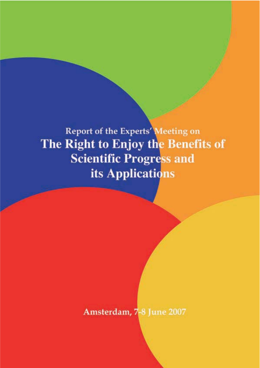Report of the Experts' Meeting on The Right to Enjoy the Benefits of **Scientific Progress and** its Applications

Amsterdam, 7-8 June 2007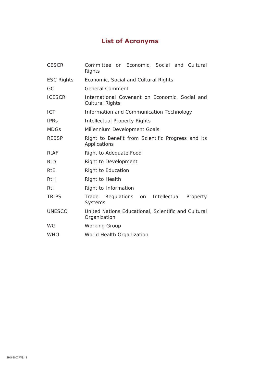# **List of Acronyms**

| <b>CESCR</b>      | Committee on Economic, Social and Cultural<br>Rights                     |
|-------------------|--------------------------------------------------------------------------|
| <b>ESC Rights</b> | Economic, Social and Cultural Rights                                     |
| GC                | <b>General Comment</b>                                                   |
| <b>ICESCR</b>     | International Covenant on Economic, Social and<br><b>Cultural Rights</b> |
| <b>ICT</b>        | Information and Communication Technology                                 |
| <b>IPRS</b>       | Intellectual Property Rights                                             |
| <b>MDGs</b>       | Millennium Development Goals                                             |
| <b>REBSP</b>      | Right to Benefit from Scientific Progress and its<br>Applications        |
| <b>RtAF</b>       | Right to Adequate Food                                                   |
| <b>RtD</b>        | Right to Development                                                     |
| <b>RtE</b>        | Right to Education                                                       |
| <b>RtH</b>        | Right to Health                                                          |
| Rtl               | Right to Information                                                     |
| <b>TRIPS</b>      | Regulations on Intellectual<br>Trade<br>Property<br><b>Systems</b>       |
| <b>UNESCO</b>     | United Nations Educational, Scientific and Cultural<br>Organization      |
| <b>WG</b>         | <b>Working Group</b>                                                     |
| <b>WHO</b>        | World Health Organization                                                |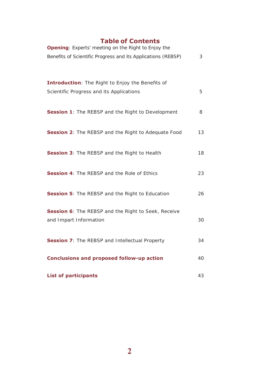# **Table of Contents**

| <b>Opening:</b> Experts' meeting on the Right to Enjoy the<br>Benefits of Scientific Progress and its Applications (REBSP) |    |
|----------------------------------------------------------------------------------------------------------------------------|----|
|                                                                                                                            |    |
| <b>Introduction:</b> The Right to Enjoy the Benefits of                                                                    |    |
| Scientific Progress and its Applications                                                                                   | 5  |
| <b>Session 1:</b> The REBSP and the Right to Development                                                                   | 8  |
| <b>Session 2:</b> The REBSP and the Right to Adequate Food                                                                 | 13 |
| <b>Session 3: The REBSP and the Right to Health</b>                                                                        | 18 |
| <b>Session 4:</b> The REBSP and the Role of Ethics                                                                         | 23 |
| <b>Session 5:</b> The REBSP and the Right to Education                                                                     | 26 |
| Session 6: The REBSP and the Right to Seek, Receive                                                                        |    |
| and Impart Information                                                                                                     | 30 |
| <b>Session 7:</b> The REBSP and Intellectual Property                                                                      | 34 |
| <b>Conclusions and proposed follow-up action</b>                                                                           |    |
| <b>List of participants</b>                                                                                                |    |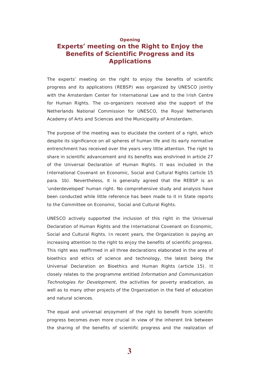# <span id="page-3-0"></span>**Opening Experts' meeting on the Right to Enjoy the Benefits of Scientific Progress and its Applications**

The experts' meeting on the right to enjoy the benefits of scientific progress and its applications (REBSP) was organized by UNESCO jointly with the Amsterdam Center for International Law and to the Irish Centre for Human Rights. The co-organizers received also the support of the Netherlands National Commission for UNESCO, the Royal Netherlands Academy of Arts and Sciences and the Municipality of Amsterdam.

The purpose of the meeting was to elucidate the content of a right, which despite its significance on all spheres of human life and its early normative entrenchment has received over the years very little attention. The right to share in scientific advancement and its benefits was enshrined in article 27 of the Universal Declaration of Human Rights. It was included in the International Covenant on Economic, Social and Cultural Rights (article 15 para. 1b). Nevertheless, it is generally agreed that the REBSP is an 'underdeveloped' human right. No comprehensive study and analysis have been conducted while little reference has been made to it in State reports to the Committee on Economic, Social and Cultural Rights.

UNESCO actively supported the inclusion of this right in the Universal Declaration of Human Rights and the International Covenant on Economic, Social and Cultural Rights. In recent years, the Organization is paying an increasing attention to the right to enjoy the benefits of scientific progress. This right was reaffirmed in all three declarations elaborated in the area of bioethics and ethics of science and technology, the latest being the Universal Declaration on Bioethics and Human Rights (article 15). It closely relates to the programme entitled *Information and Communication Technologies for Development*, the activities for poverty eradication, as well as to many other projects of the Organization in the field of education and natural sciences.

The equal and universal enjoyment of the right to benefit from scientific progress becomes even more crucial in view of the inherent link between the sharing of the benefits of scientific progress and the realization of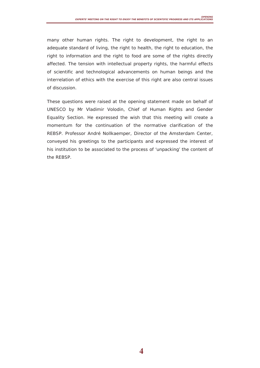many other human rights. The right to development, the right to an adequate standard of living, the right to health, the right to education, the right to information and the right to food are some of the rights directly affected. The tension with intellectual property rights, the harmful effects of scientific and technological advancements on human beings and the interrelation of ethics with the exercise of this right are also central issues of discussion.

These questions were raised at the opening statement made on behalf of UNESCO by Mr Vladimir Volodin, Chief of Human Rights and Gender Equality Section. He expressed the wish that this meeting will create a momentum for the continuation of the normative clarification of the REBSP. Professor André Nollkaemper, Director of the Amsterdam Center, conveyed his greetings to the participants and expressed the interest of his institution to be associated to the process of 'unpacking' the content of the REBSP.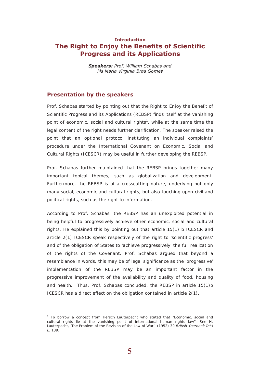# <span id="page-5-0"></span>**Introduction The Right to Enjoy the Benefits of Scientific Progress and its Applications**

*Speakers: Prof. William Schabas and Ms Maria Virginia Bras Gomes*

### **Presentation by the speakers**

Prof. Schabas started by pointing out that the Right to Enjoy the Benefit of Scientific Progress and its Applications (REBSP) finds itself at the vanishing point of economic, social and cultural rights<sup>1</sup>, while at the same time the legal content of the right needs further clarification. The speaker raised the point that an optional protocol instituting an individual complaints' procedure under the International Covenant on Economic, Social and Cultural Rights (ICESCR) may be useful in further developing the REBSP.

Prof. Schabas further maintained that the REBSP brings together many important topical themes, such as globalization and development. Furthermore, the REBSP is of a crosscutting nature, underlying not only many social, economic and cultural rights, but also touching upon civil and political rights, such as the right to information.

According to Prof. Schabas, the REBSP has an unexploited potential in being helpful to progressively achieve other economic, social and cultural rights. He explained this by pointing out that article 15(1) b ICESCR and article 2(1) ICESCR speak respectively of the right to 'scientific progress' and of the obligation of States to 'achieve progressively' the full realization of the rights of the Covenant. Prof. Schabas argued that beyond a resemblance in words, this may be of legal significance as the 'progressive' implementation of the REBSP may be an important factor in the progressive improvement of the availability and quality of food, housing and health. Thus, Prof. Schabas concluded, the REBSP in article 15(1)b ICESCR has a direct effect on the obligation contained in article 2(1).

 $\overline{a}$ 

<sup>&</sup>lt;sup>1</sup> To borrow a concept from Hersch Lauterpacht who stated that "Economic, social and cultural rights lie at the vanishing point of international human rights law". See H. Lauterpacht, 'The Problem of the Revision of the Law of War', (1952) 39 *British Yearbook Int'l L.* 139.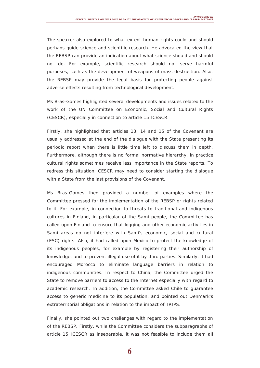The speaker also explored to what extent human rights could and should perhaps guide science and scientific research. He advocated the view that the REBSP can provide an indication about what science should and should not do. For example, scientific research should not serve harmful purposes, such as the development of weapons of mass destruction. Also, the REBSP may provide the legal basis for protecting people against adverse effects resulting from technological development.

Ms Bras-Gomes highlighted several developments and issues related to the work of the UN Committee on Economic, Social and Cultural Rights (CESCR), especially in connection to article 15 ICESCR.

Firstly, she highlighted that articles 13, 14 and 15 of the Covenant are usually addressed at the end of the dialogue with the State presenting its periodic report when there is little time left to discuss them in depth. Furthermore, although there is no formal normative hierarchy, in practice cultural rights sometimes receive less importance in the State reports. To redress this situation, CESCR may need to consider starting the dialogue with a State from the last provisions of the Covenant.

Ms Bras-Gomes then provided a number of examples where the Committee pressed for the implementation of the REBSP or rights related to it. For example, in connection to threats to traditional and indigenous cultures in Finland, in particular of the Sami people, the Committee has called upon Finland to ensure that logging and other economic activities in Sami areas do not interfere with Sami's economic, social and cultural (ESC) rights. Also, it had called upon Mexico to protect the knowledge of its indigenous peoples, for example by registering their authorship of knowledge, and to prevent illegal use of it by third parties. Similarly, it had encouraged Morocco to eliminate language barriers in relation to indigenous communities. In respect to China, the Committee urged the State to remove barriers to access to the Internet especially with regard to academic research. In addition, the Committee asked Chile to guarantee access to generic medicine to its population, and pointed out Denmark's extraterritorial obligations in relation to the impact of TRIPS.

Finally, she pointed out two challenges with regard to the implementation of the REBSP. Firstly, while the Committee considers the subparagraphs of article 15 ICESCR as inseparable, it was not feasible to include them all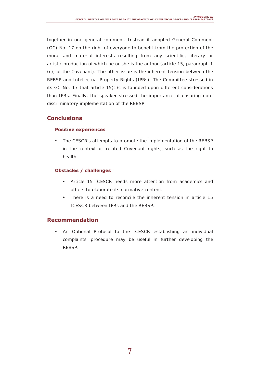together in one general comment. Instead it adopted General Comment (GC) No. 17 on the right of everyone to benefit from the protection of the moral and material interests resulting from any scientific, literary or artistic production of which he or she is the author (article 15, paragraph 1 (c), of the Covenant). The other issue is the inherent tension between the REBSP and Intellectual Property Rights (IPRs). The Committee stressed in its GC No. 17 that article 15(1)c is founded upon different considerations than IPRs. Finally, the speaker stressed the importance of ensuring nondiscriminatory implementation of the REBSP.

### **Conclusions**

### **Positive experiences**

The CESCR's attempts to promote the implementation of the REBSP in the context of related Covenant rights, such as the right to health.

### **Obstacles / challenges**

- Article 15 ICESCR needs more attention from academics and others to elaborate its normative content.
- There is a need to reconcile the inherent tension in article 15 ICESCR between IPRs and the REBSP.

### **Recommendation**

• An Optional Protocol to the ICESCR establishing an individual complaints' procedure may be useful in further developing the REBSP.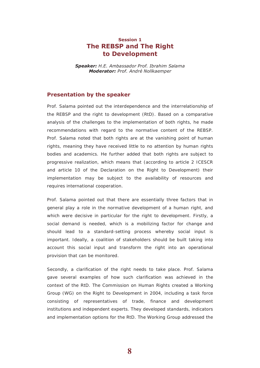# <span id="page-8-0"></span>**Session 1 The REBSP and The Right to Development**

*Speaker: H.E. Ambassador Prof. Ibrahim Salama Moderator: Prof. André Nollkaemper*

### **Presentation by the speaker**

Prof. Salama pointed out the interdependence and the interrelationship of the REBSP and the right to development (RtD). Based on a comparative analysis of the challenges to the implementation of both rights, he made recommendations with regard to the normative content of the REBSP. Prof. Salama noted that both rights are at the vanishing point of human rights, meaning they have received little to no attention by human rights bodies and academics. He further added that both rights are subject to progressive realization, which means that (according to article 2 ICESCR and article 10 of the Declaration on the Right to Development) their implementation may be subject to the availability of resources and requires international cooperation.

Prof. Salama pointed out that there are essentially three factors that in general play a role in the normative development of a human right, and which were decisive in particular for the right to development. Firstly, a social demand is needed, which is a mobilizing factor for change and should lead to a standard-setting process whereby social input is important. Ideally, a coalition of stakeholders should be built taking into account this social input and transform the right into an operational provision that can be monitored.

Secondly, a clarification of the right needs to take place. Prof. Salama gave several examples of how such clarification was achieved in the context of the RtD. The Commission on Human Rights created a Working Group (WG) on the Right to Development in 2004, including a task force consisting of representatives of trade, finance and development institutions and independent experts. They developed standards, indicators and implementation options for the RtD. The Working Group addressed the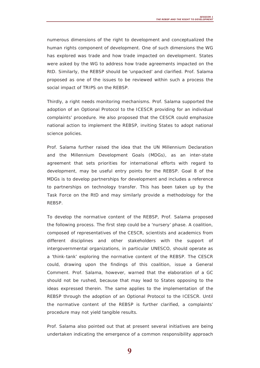numerous dimensions of the right to development and conceptualized the human rights component of development. One of such dimensions the WG has explored was trade and how trade impacted on development. States were asked by the WG to address how trade agreements impacted on the RtD. Similarly, the REBSP should be 'unpacked' and clarified. Prof. Salama proposed as one of the issues to be reviewed within such a process the social impact of TRIPS on the REBSP.

Thirdly, a right needs monitoring mechanisms. Prof. Salama supported the adoption of an Optional Protocol to the ICESCR providing for an individual complaints' procedure. He also proposed that the CESCR could emphasize national action to implement the REBSP, inviting States to adopt national science policies.

Prof. Salama further raised the idea that the UN Millennium Declaration and the Millennium Development Goals (MDGs), as an inter-state agreement that sets priorities for international efforts with regard to development, may be useful entry points for the REBSP. Goal 8 of the MDGs is to develop partnerships for development and includes a reference to partnerships on technology transfer. This has been taken up by the Task Force on the RtD and may similarly provide a methodology for the REBSP.

To develop the normative content of the REBSP, Prof. Salama proposed the following process. The first step could be a 'nursery' phase. A coalition, composed of representatives of the CESCR, scientists and academics from different disciplines and other stakeholders with the support of intergovernmental organizations, in particular UNESCO, should operate as a 'think-tank' exploring the normative content of the REBSP. The CESCR could, drawing upon the findings of this coalition, issue a General Comment. Prof. Salama, however, warned that the elaboration of a GC should not be rushed, because that may lead to States opposing to the ideas expressed therein. The same applies to the implementation of the REBSP through the adoption of an Optional Protocol to the ICESCR. Until the normative content of the REBSP is further clarified, a complaints' procedure may not yield tangible results.

Prof. Salama also pointed out that at present several initiatives are being undertaken indicating the emergence of a common responsibility approach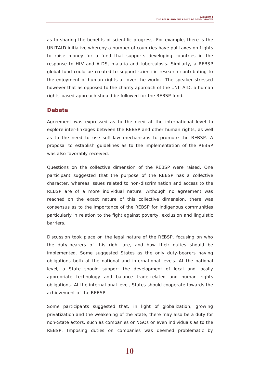as to sharing the benefits of scientific progress. For example, there is the UNITAID initiative whereby a number of countries have put taxes on flights to raise money for a fund that supports developing countries in the response to HIV and AIDS, malaria and tuberculosis. Similarly, a REBSP global fund could be created to support scientific research contributing to the enjoyment of human rights all over the world. The speaker stressed however that as opposed to the charity approach of the UNITAID, a human rights-based approach should be followed for the REBSP fund.

### **Debate**

Agreement was expressed as to the need at the international level to explore inter-linkages between the REBSP and other human rights, as well as to the need to use soft-law mechanisms to promote the REBSP. A proposal to establish guidelines as to the implementation of the REBSP was also favorably received.

Questions on the collective dimension of the REBSP were raised. One participant suggested that the purpose of the REBSP has a collective character, whereas issues related to non-discrimination and access to the REBSP are of a more individual nature. Although no agreement was reached on the exact nature of this collective dimension, there was consensus as to the importance of the REBSP for indigenous communities particularly in relation to the fight against poverty, exclusion and linguistic barriers.

Discussion took place on the legal nature of the REBSP, focusing on who the duty-bearers of this right are, and how their duties should be implemented. Some suggested States as the only duty-bearers having obligations both at the national and international levels. At the national level, a State should support the development of local and locally appropriate technology and balance trade-related and human rights obligations. At the international level, States should cooperate towards the achievement of the REBSP.

Some participants suggested that, in light of globalization, growing privatization and the weakening of the State, there may also be a duty for non-State actors, such as companies or NGOs or even individuals as to the REBSP. Imposing duties on companies was deemed problematic by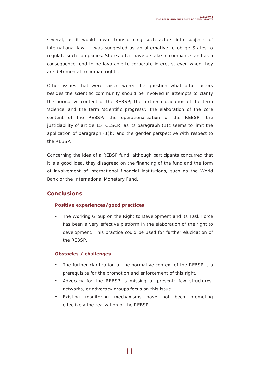several, as it would mean transforming such actors into subjects of international law. It was suggested as an alternative to oblige States to regulate such companies. States often have a stake in companies and as a consequence tend to be favorable to corporate interests, even when they are detrimental to human rights.

Other issues that were raised were: the question what other actors besides the scientific community should be involved in attempts to clarify the normative content of the REBSP; the further elucidation of the term 'science' and the term 'scientific progress'; the elaboration of the core content of the REBSP; the operationalization of the REBSP; the justiciability of article 15 ICESCR, as its paragraph (1)c seems to limit the application of paragraph (1)b; and the gender perspective with respect to the REBSP.

Concerning the idea of a REBSP fund, although participants concurred that it is a good idea, they disagreed on the financing of the fund and the form of involvement of international financial institutions, such as the World Bank or the International Monetary Fund.

### **Conclusions**

#### **Positive experiences/good practices**

• The Working Group on the Right to Development and its Task Force has been a very effective platform in the elaboration of the right to development. This practice could be used for further elucidation of the REBSP.

### **Obstacles / challenges**

- The further clarification of the normative content of the REBSP is a prerequisite for the promotion and enforcement of this right.
- Advocacy for the REBSP is missing at present: few structures, networks, or advocacy groups focus on this issue.
- Existing monitoring mechanisms have not been promoting effectively the realization of the REBSP.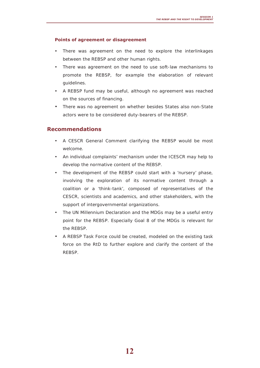### **Points of agreement or disagreement**

- There was agreement on the need to explore the interlinkages between the REBSP and other human rights.
- There was agreement on the need to use soft-law mechanisms to promote the REBSP, for example the elaboration of relevant guidelines.
- A REBSP fund may be useful, although no agreement was reached on the sources of financing.
- There was no agreement on whether besides States also non-State actors were to be considered duty-bearers of the REBSP.

### **Recommendations**

- A CESCR General Comment clarifying the REBSP would be most welcome.
- An individual complaints' mechanism under the ICESCR may help to develop the normative content of the REBSP.
- The development of the REBSP could start with a 'nursery' phase, involving the exploration of its normative content through a coalition or a 'think-tank', composed of representatives of the CESCR, scientists and academics, and other stakeholders, with the support of intergovernmental organizations.
- The UN Millennium Declaration and the MDGs may be a useful entry point for the REBSP. Especially Goal 8 of the MDGs is relevant for the REBSP.
- A REBSP Task Force could be created, modeled on the existing task force on the RtD to further explore and clarify the content of the REBSP.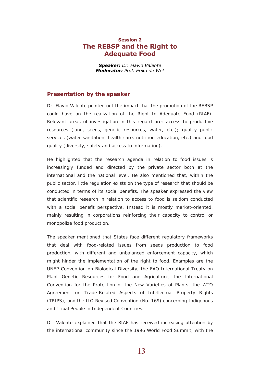## <span id="page-13-0"></span>**Session 2 The REBSP and the Right to Adequate Food**

*Speaker: Dr. Flavio Valente Moderator: Prof. Erika de Wet*

### **Presentation by the speaker**

Dr. Flavio Valente pointed out the impact that the promotion of the REBSP could have on the realization of the Right to Adequate Food (RtAF). Relevant areas of investigation in this regard are: access to productive resources (land, seeds, genetic resources, water, etc.); quality public services (water sanitation, health care, nutrition education, etc.) and food quality (diversity, safety and access to information).

He highlighted that the research agenda in relation to food issues is increasingly funded and directed by the private sector both at the international and the national level. He also mentioned that, within the public sector, little regulation exists on the type of research that should be conducted in terms of its social benefits. The speaker expressed the view that scientific research in relation to access to food is seldom conducted with a social benefit perspective. Instead it is mostly market-oriented, mainly resulting in corporations reinforcing their capacity to control or monopolize food production.

The speaker mentioned that States face different regulatory frameworks that deal with food-related issues from seeds production to food production, with different and unbalanced enforcement capacity, which might hinder the implementation of the right to food. Examples are the UNEP Convention on Biological Diversity, the FAO International Treaty on Plant Genetic Resources for Food and Agriculture, the International Convention for the Protection of the New Varieties of Plants, the WTO Agreement on Trade-Related Aspects of Intellectual Property Rights (TRIPS), and the ILO Revised Convention (No. 169) concerning Indigenous and Tribal People in Independent Countries.

Dr. Valente explained that the RtAF has received increasing attention by the international community since the 1996 World Food Summit, with the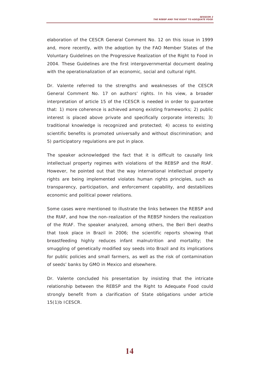elaboration of the CESCR General Comment No. 12 on this issue in 1999 and, more recently, with the adoption by the FAO Member States of the Voluntary Guidelines on the Progressive Realization of the Right to Food in 2004. These Guidelines are the first intergovernmental document dealing with the operationalization of an economic, social and cultural right.

Dr. Valente referred to the strengths and weaknesses of the CESCR General Comment No. 17 on authors' rights. In his view, a broader interpretation of article 15 of the ICESCR is needed in order to guarantee that: 1) more coherence is achieved among existing frameworks; 2) public interest is placed above private and specifically corporate interests; 3) traditional knowledge is recognized and protected; 4) access to existing scientific benefits is promoted universally and without discrimination; and 5) participatory regulations are put in place.

The speaker acknowledged the fact that it is difficult to causally link intellectual property regimes with violations of the REBSP and the RtAF. However, he pointed out that the way international intellectual property rights are being implemented violates human rights principles, such as transparency, participation, and enforcement capability, and destabilizes economic and political power relations.

Some cases were mentioned to illustrate the links between the REBSP and the RtAF, and how the non-realization of the REBSP hinders the realization of the RtAF. The speaker analyzed, among others, the Beri Beri deaths that took place in Brazil in 2006; the scientific reports showing that breastfeeding highly reduces infant malnutrition and mortality; the smuggling of genetically modified soy seeds into Brazil and its implications for public policies and small farmers, as well as the risk of contamination of seeds' banks by GMO in Mexico and elsewhere.

Dr. Valente concluded his presentation by insisting that the intricate relationship between the REBSP and the Right to Adequate Food could strongly benefit from a clarification of State obligations under article 15(1)b ICESCR.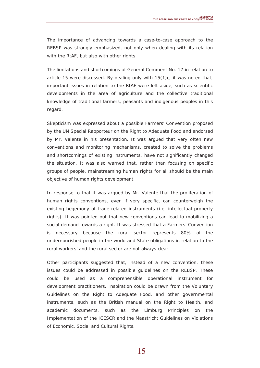The importance of advancing towards a case-to-case approach to the REBSP was strongly emphasized, not only when dealing with its relation with the RtAF, but also with other rights.

The limitations and shortcomings of General Comment No. 17 in relation to article 15 were discussed. By dealing only with 15(1)c, it was noted that, important issues in relation to the RtAF were left aside, such as scientific developments in the area of agriculture and the collective traditional knowledge of traditional farmers, peasants and indigenous peoples in this regard.

Skepticism was expressed about a possible Farmers' Convention proposed by the UN Special Rapporteur on the Right to Adequate Food and endorsed by Mr. Valente in his presentation. It was argued that very often new conventions and monitoring mechanisms, created to solve the problems and shortcomings of existing instruments, have not significantly changed the situation. It was also warned that, rather than focusing on specific groups of people, mainstreaming human rights for all should be the main objective of human rights development.

In response to that it was argued by Mr. Valente that the proliferation of human rights conventions, even if very specific, can counterweigh the existing hegemony of trade-related instruments (i.e. intellectual property rights). It was pointed out that new conventions can lead to mobilizing a social demand towards a right. It was stressed that a Farmers' Convention is necessary because the rural sector represents 80% of the undernourished people in the world and State obligations in relation to the rural workers' and the rural sector are not always clear.

Other participants suggested that, instead of a new convention, these issues could be addressed in possible guidelines on the REBSP. These could be used as a comprehensible operational instrument for development practitioners. Inspiration could be drawn from the Voluntary Guidelines on the Right to Adequate Food, and other governmental instruments, such as the British manual on the Right to Health, and academic documents, such as the Limburg Principles on the Implementation of the ICESCR and the Maastricht Guidelines on Violations of Economic, Social and Cultural Rights.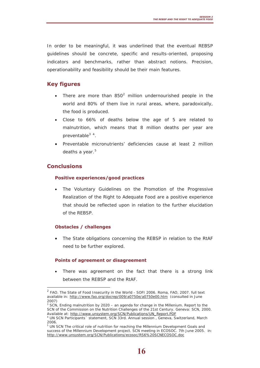In order to be meaningful, it was underlined that the eventual REBSP guidelines should be concrete, specific and results-oriented, proposing indicators and benchmarks, rather than abstract notions. Precision, operationability and feasibility should be their main features.

# **Key figures**

- There are more than  $850<sup>2</sup>$  $850<sup>2</sup>$  $850<sup>2</sup>$  million undernourished people in the world and 80% of them live in rural areas, where, paradoxically, the food is produced.
- Close to 66% of deaths below the age of 5 are related to malnutrition, which means that 8 million deaths per year are preventable<sup>[3](#page-16-1)</sup><sup>[4](#page-16-2)</sup>.
- Preventable micronutrients' deficiencies cause at least 2 million deaths a year. $5$

# **Conclusions**

 $\overline{a}$ 

### **Positive experiences/good practices**

The Voluntary Guidelines on the Promotion of the Progressive Realization of the Right to Adequate Food are a positive experience that should be reflected upon in relation to the further elucidation of the REBSP.

### **Obstacles / challenges**

• The State obligations concerning the REBSP in relation to the RtAF need to be further explored.

### **Points of agreement or disagreement**

There was agreement on the fact that there is a strong link between the REBSP and the RtAF.

<span id="page-16-0"></span><sup>&</sup>lt;sup>2</sup> FAO. The State of Food Insecurity in the World - SOFI 2006. Roma, FAO, 2007. full text available in: <http://www.fao.org/docrep/009/a0750e/a0750e00.htm> (consulted in June 2007)

<span id="page-16-1"></span><sup>&</sup>lt;sup>3</sup> SCN, Ending malnutrition by 2020 – an agenda for change in the Millenium. Report to the SCN of the Commission on the Nutrition Challenges of the 21st Century. Geneva: SCN, 2000. Available at: http://www.unsystem.org/SCN/Publications/UN\_Report.PDF

<span id="page-16-2"></span>UN SCN Participants´ statement, SCN 33rd. Annual session , Geneva, Switzerland, March 2006.

<span id="page-16-3"></span><sup>&</sup>lt;sup>5</sup> UN SCN The critical role of nutrition for reaching the Millennium Development Goals and success of the Millennium Development project. SCN meeting in ECOSOC. 7th June 2005. in: <http://www.unsystem.org/SCN/Publications/ecosoc/RS6%20SCNECOSOC.doc>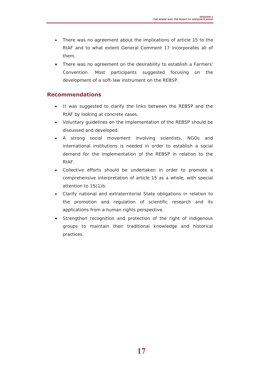- There was no agreement about the implications of article 15 to the RtAF and to what extent General Comment 17 incorporates all of them.
- There was no agreement on the desirability to establish a Farmers' Convention. Most participants suggested focusing on the development of a soft-law instrument on the REBSP.

# **Recommendations**

- It was suggested to clarify the links between the REBSP and the RtAF by looking at concrete cases.
- Voluntary guidelines on the implementation of the REBSP should be discussed and developed.
- A strong social movement involving scientists, NGOs and international institutions is needed in order to establish a social demand for the implementation of the REBSP in relation to the RtAF.
- Collective efforts should be undertaken in order to promote a comprehensive interpretation of article 15 as a whole, with special attention to 15(1)b.
- Clarify national and extraterritorial State obligations in relation to the promotion and regulation of scientific research and its applications from a human rights perspective.
- Strengthen recognition and protection of the right of indigenous groups to maintain their traditional knowledge and historical practices.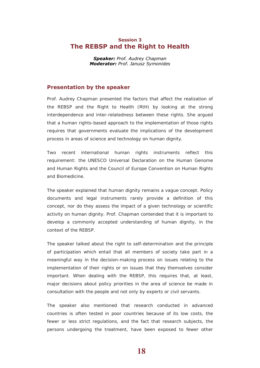### <span id="page-18-0"></span>**Session 3 The REBSP and the Right to Health**

*Speaker: Prof. Audrey Chapman Moderator: Prof. Janusz Symonides*

### **Presentation by the speaker**

Prof. Audrey Chapman presented the factors that affect the realization of the REBSP and the Right to Health (RtH) by looking at the strong interdependence and inter-relatedness between these rights. She argued that a human rights-based approach to the implementation of those rights requires that governments evaluate the implications of the development process in areas of science and technology on human dignity.

Two recent international human rights instruments reflect this requirement: the UNESCO Universal Declaration on the Human Genome and Human Rights and the Council of Europe Convention on Human Rights and Biomedicine.

The speaker explained that human dignity remains a vague concept. Policy documents and legal instruments rarely provide a definition of this concept, nor do they assess the impact of a given technology or scientific activity on human dignity. Prof. Chapman contended that it is important to develop a commonly accepted understanding of human dignity, in the context of the REBSP.

The speaker talked about the right to self-determination and the principle of participation which entail that all members of society take part in a meaningful way in the decision-making process on issues relating to the implementation of their rights or on issues that they themselves consider important. When dealing with the REBSP, this requires that, at least, major decisions about policy priorities in the area of science be made in consultation with the people and not only by experts or civil servants.

The speaker also mentioned that research conducted in advanced countries is often tested in poor countries because of its low costs, the fewer or less strict regulations, and the fact that research subjects, the persons undergoing the treatment, have been exposed to fewer other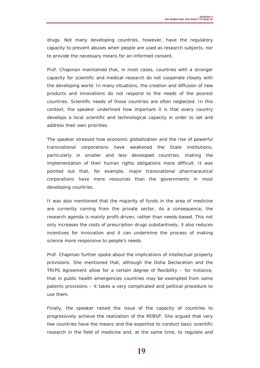drugs. Not many developing countries, however, have the regulatory capacity to prevent abuses when people are used as research subjects, nor to provide the necessary means for an informed consent.

Prof. Chapman maintained that, in most cases, countries with a stronger capacity for scientific and medical research do not cooperate closely with the developing world. In many situations, the creation and diffusion of new products and innovations do not respond to the needs of the poorest countries. Scientific needs of those countries are often neglected. In this context, the speaker underlined how important it is that every country develops a local scientific and technological capacity in order to set and address their own priorities.

The speaker stressed how economic globalization and the rise of powerful transnational corporations have weakened the State institutions, particularly in smaller and less developed countries, making the implementation of their human rights obligations more difficult. It was pointed out that, for example, major transnational pharmaceutical corporations have more resources than the governments in most developing countries.

It was also mentioned that the majority of funds in the area of medicine are currently coming from the private sector. As a consequence, the research agenda is mainly profit-driven, rather than needs-based. This not only increases the costs of prescription drugs substantively, it also reduces incentives for innovation and it can undermine the process of making science more responsive to people's needs.

Prof. Chapman further spoke about the implications of intellectual property provisions. She mentioned that, although the Doha Declaration and the TRIPS Agreement allow for a certain degree of flexibility – for instance, that in public health emergencies countries may be exempted from some patents provisions – it takes a very complicated and political procedure to use them.

Finally, the speaker raised the issue of the capacity of countries to progressively achieve the realization of the REBSP. She argued that very few countries have the means and the expertise to conduct basic scientific research in the field of medicine and, at the same time, to regulate and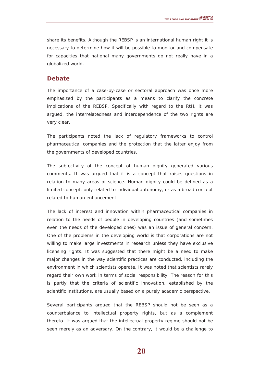share its benefits. Although the REBSP is an international human right it is necessary to determine how it will be possible to monitor and compensate for capacities that national many governments do not really have in a globalized world.

### **Debate**

The importance of a case-by-case or sectoral approach was once more emphasized by the participants as a means to clarify the concrete implications of the REBSP. Specifically with regard to the RtH, it was argued, the interrelatedness and interdependence of the two rights are very clear.

The participants noted the lack of regulatory frameworks to control pharmaceutical companies and the protection that the latter enjoy from the governments of developed countries.

The subjectivity of the concept of human dignity generated various comments. It was argued that it is a concept that raises questions in relation to many areas of science. Human dignity could be defined as a limited concept, only related to individual autonomy, or as a broad concept related to human enhancement.

The lack of interest and innovation within pharmaceutical companies in relation to the needs of people in developing countries (and sometimes even the needs of the developed ones) was an issue of general concern. One of the problems in the developing world is that corporations are not willing to make large investments in research unless they have exclusive licensing rights. It was suggested that there might be a need to make major changes in the way scientific practices are conducted, including the environment in which scientists operate. It was noted that scientists rarely regard their own work in terms of social responsibility. The reason for this is partly that the criteria of scientific innovation, established by the scientific institutions, are usually based on a purely academic perspective.

Several participants argued that the REBSP should not be seen as a counterbalance to intellectual property rights, but as a complement thereto. It was argued that the intellectual property regime should not be seen merely as an adversary. On the contrary, it would be a challenge to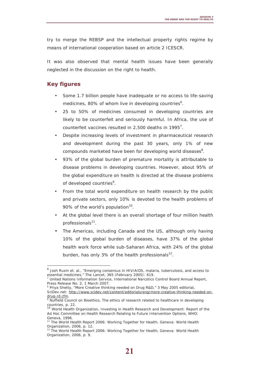try to merge the REBSP and the intellectual property rights regime by means of international cooperation based on article 2 ICESCR.

It was also observed that mental health issues have been generally neglected in the discussion on the right to health.

### **Key figures**

 $\overline{a}$ 

- Some 1.7 billion people have inadequate or no access to life-saving medicines, 80% of whom live in developing countries<sup>6</sup>.
- 25 to 50% of medicines consumed in developing countries are likely to be counterfeit and seriously harmful. In Africa, the use of counterfeit vaccines resulted in 2,500 deaths in 1995<sup>7</sup>.
- Despite increasing levels of investment in pharmaceutical research and development during the past 30 years, only 1% of new compounds marketed have been for developing world diseases $8$ .
- 93% of the global burden of premature mortality is attributable to disease problems in developing countries. However, about 95% of the global expenditure on health is directed at the disease problems of developed countries<sup>9</sup>.
- From the total world expenditure on health research by the public and private sectors, only 10% is devoted to the health problems of 90% of the world's population<sup>10</sup>.
- At the global level there is an overall shortage of four million health professionals $11$ .
- The Americas, including Canada and the US, although only having 10% of the global burden of diseases, have 37% of the global health work force while sub-Saharan Africa, with 24% of the global burden, has only 3% of the health professionals $^{12}$ .

<sup>6</sup> Josh Ruxin et. al., "Emerging consensus in HIV/AIDS, malaria, tuberculosis, and access to essential medicines," The Lancet, 365 (February 2005): 619.

<sup>7</sup> United Nations Information Service, International Narcotics Control Board Annual Report, Press Release No. 2, 1 March 2007.

<sup>&</sup>lt;sup>8</sup> Priya Shetty, "More Creative thinking needed on Drug R&D," 3 May 2005 editorial, [SciDev.net: http://www.scidev.net/content/editorials/eng/more-creative-thinking-needed-on](http://www.scidev.net/content/editorials/eng/more-creative-thinking-needed-on-drug-rd.cfm)drug-[rd.cfm.](http://www.scidev.net/content/editorials/eng/more-creative-thinking-needed-on-drug-rd.cfm)

<sup>9</sup> Nuffield Council on Bioethics, The ethics of research related to healthcare in developing countries, p. 22.

<sup>&</sup>lt;sup>10</sup> World Health Organization, Investing in Health Research and Development: Report of the Ad Hoc Committee on Health Research Relating to Future Intervention Options, WHO: Geneva, 1996.

<sup>&</sup>lt;sup>11</sup> The World Health Report 2006: Working Together for Health, Geneva: World Health Organization, 2006, p. 12.

<sup>&</sup>lt;sup>12</sup> The World Health Report 2006: Working Together for Health, Geneva: World Health Organization, 2006, p. 9.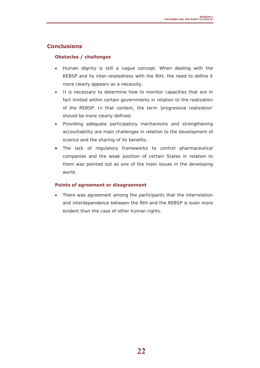# **Conclusions**

### **Obstacles / challenges**

- Human dignity is still a vague concept. When dealing with the REBSP and its inter-relatedness with the RtH, the need to define it more clearly appears as a necessity.
- It is necessary to determine how to monitor capacities that are in fact limited within certain governments in relation to the realization of the REBSP. In that context, the term 'progressive realization' should be more clearly defined.
- Providing adequate participatory mechanisms and strengthening accountability are main challenges in relation to the development of science and the sharing of its benefits.
- The lack of regulatory frameworks to control pharmaceutical companies and the weak position of certain States in relation to them was pointed out as one of the main issues in the developing world.

### **Points of agreement or disagreement**

There was agreement among the participants that the interrelation and interdependence between the RtH and the REBSP is even more evident than the case of other human rights.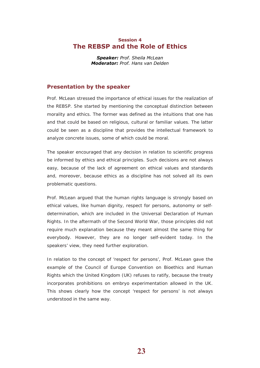### <span id="page-23-0"></span>**Session 4 The REBSP and the Role of Ethics**

*Speaker: Prof. Sheila McLean Moderator: Prof. Hans van Delden*

### **Presentation by the speaker**

Prof. McLean stressed the importance of ethical issues for the realization of the REBSP. She started by mentioning the conceptual distinction between morality and ethics. The former was defined as the intuitions that one has and that could be based on religious, cultural or familiar values. The latter could be seen as a discipline that provides the intellectual framework to analyze concrete issues, some of which could be moral.

The speaker encouraged that any decision in relation to scientific progress be informed by ethics and ethical principles. Such decisions are not always easy, because of the lack of agreement on ethical values and standards and, moreover, because ethics as a discipline has not solved all its own problematic questions.

Prof. McLean argued that the human rights language is strongly based on ethical values, like human dignity, respect for persons, autonomy or selfdetermination, which are included in the Universal Declaration of Human Rights. In the aftermath of the Second World War, those principles did not require much explanation because they meant almost the same thing for everybody. However, they are no longer self-evident today. In the speakers' view, they need further exploration.

In relation to the concept of 'respect for persons', Prof. McLean gave the example of the Council of Europe Convention on Bioethics and Human Rights which the United Kingdom (UK) refuses to ratify, because the treaty incorporates prohibitions on embryo experimentation allowed in the UK. This shows clearly how the concept 'respect for persons' is not always understood in the same way.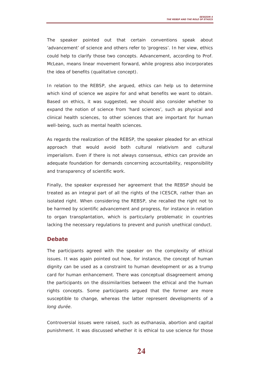The speaker pointed out that certain conventions speak about 'advancement' of science and others refer to 'progress'. In her view, ethics could help to clarify those two concepts. Advancement, according to Prof. McLean, means linear movement forward, while progress also incorporates the idea of benefits (qualitative concept).

In relation to the REBSP, she argued, ethics can help us to determine which kind of science we aspire for and what benefits we want to obtain. Based on ethics, it was suggested, we should also consider whether to expand the notion of science from 'hard sciences', such as physical and clinical health sciences, to other sciences that are important for human well-being, such as mental health sciences.

As regards the realization of the REBSP, the speaker pleaded for an ethical approach that would avoid both cultural relativism and cultural imperialism. Even if there is not always consensus, ethics can provide an adequate foundation for demands concerning accountability, responsibility and transparency of scientific work.

Finally, the speaker expressed her agreement that the REBSP should be treated as an integral part of all the rights of the ICESCR, rather than an isolated right. When considering the REBSP, she recalled the right not to be harmed by scientific advancement and progress, for instance in relation to organ transplantation, which is particularly problematic in countries lacking the necessary regulations to prevent and punish unethical conduct.

### **Debate**

The participants agreed with the speaker on the complexity of ethical issues. It was again pointed out how, for instance, the concept of human dignity can be used as a constraint to human development or as a trump card for human enhancement. There was conceptual disagreement among the participants on the dissimilarities between the ethical and the human rights concepts. Some participants argued that the former are more susceptible to change, whereas the latter represent developments of a *long durée*.

Controversial issues were raised, such as euthanasia, abortion and capital punishment. It was discussed whether it is ethical to use science for those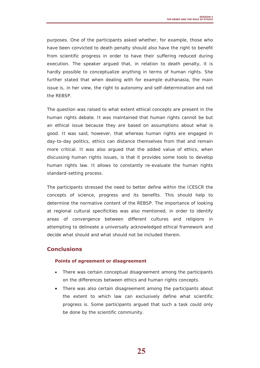purposes. One of the participants asked whether, for example, those who have been convicted to death penalty should also have the right to benefit from scientific progress in order to have their suffering reduced during execution. The speaker argued that, in relation to death penalty, it is hardly possible to conceptualize anything in terms of human rights. She further stated that when dealing with for example euthanasia, the main issue is, in her view, the right to autonomy and self-determination and not the REBSP.

The question was raised to what extent ethical concepts are present in the human rights debate. It was maintained that human rights cannot be but an ethical issue because they are based on assumptions about what is good. It was said, however, that whereas human rights are engaged in day-to-day politics, ethics can distance themselves from that and remain more critical. It was also argued that the added value of ethics, when discussing human rights issues, is that it provides some tools to develop human rights law. It allows to constantly re-evaluate the human rights standard-setting process.

The participants stressed the need to better define within the ICESCR the concepts of science, progress and its benefits. This should help to determine the normative content of the REBSP. The importance of looking at regional cultural specificities was also mentioned, in order to identify areas of convergence between different cultures and religions in attempting to delineate a universally acknowledged ethical framework and decide what should and what should not be included therein.

## **Conclusions**

#### **Points of agreement or disagreement**

- There was certain conceptual disagreement among the participants on the differences between ethics and human rights concepts.
- There was also certain disagreement among the participants about the extent to which law can exclusively define what scientific progress is. Some participants argued that such a task could only be done by the scientific community.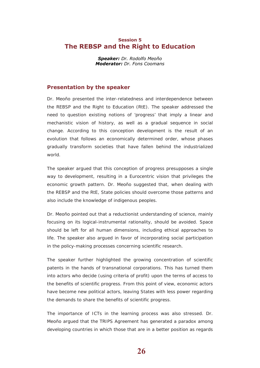### <span id="page-26-0"></span>**Session 5 The REBSP and the Right to Education**

*Speaker: Dr. Rodolfo Meoño Moderator: Dr. Fons Coomans*

### **Presentation by the speaker**

Dr. Meoño presented the inter-relatedness and interdependence between the REBSP and the Right to Education (RtE). The speaker addressed the need to question existing notions of 'progress' that imply a linear and mechanistic vision of history, as well as a gradual sequence in social change. According to this conception development is the result of an evolution that follows an economically determined order, whose phases gradually transform societies that have fallen behind the industrialized world.

The speaker argued that this conception of progress presupposes a single way to development, resulting in a Eurocentric vision that privileges the economic growth pattern. Dr. Meoño suggested that, when dealing with the REBSP and the RtE, State policies should overcome those patterns and also include the knowledge of indigenous peoples.

Dr. Meoño pointed out that a reductionist understanding of science, mainly focusing on its logical-instrumental rationality, should be avoided. Space should be left for all human dimensions, including ethical approaches to life. The speaker also argued in favor of incorporating social participation in the policy-making processes concerning scientific research.

The speaker further highlighted the growing concentration of scientific patents in the hands of transnational corporations. This has turned them into actors who decide (using criteria of profit) upon the terms of access to the benefits of scientific progress. From this point of view, economic actors have become new political actors, leaving States with less power regarding the demands to share the benefits of scientific progress.

The importance of ICTs in the learning process was also stressed. Dr. Meoño argued that the TRIPS Agreement has generated a paradox among developing countries in which those that are in a better position as regards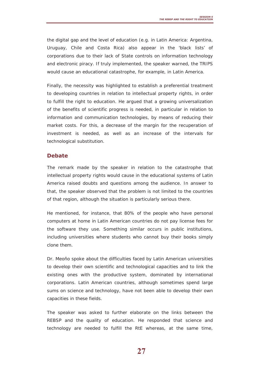the digital gap and the level of education (e.g. in Latin America: Argentina, Uruguay, Chile and Costa Rica) also appear in the 'black lists' of corporations due to their lack of State controls on information technology and electronic piracy. If truly implemented, the speaker warned, the TRIPS would cause an educational catastrophe, for example, in Latin America.

Finally, the necessity was highlighted to establish a preferential treatment to developing countries in relation to intellectual property rights, in order to fulfill the right to education. He argued that a growing universalization of the benefits of scientific progress is needed, in particular in relation to information and communication technologies, by means of reducing their market costs. For this, a decrease of the margin for the recuperation of investment is needed, as well as an increase of the intervals for technological substitution.

### **Debate**

The remark made by the speaker in relation to the catastrophe that intellectual property rights would cause in the educational systems of Latin America raised doubts and questions among the audience. In answer to that, the speaker observed that the problem is not limited to the countries of that region, although the situation is particularly serious there.

He mentioned, for instance, that 80% of the people who have personal computers at home in Latin American countries do not pay license fees for the software they use. Something similar occurs in public institutions, including universities where students who cannot buy their books simply clone them.

Dr. Meoño spoke about the difficulties faced by Latin American universities to develop their own scientific and technological capacities and to link the existing ones with the productive system, dominated by international corporations. Latin American countries, although sometimes spend large sums on science and technology, have not been able to develop their own capacities in these fields.

The speaker was asked to further elaborate on the links between the REBSP and the quality of education. He responded that science and technology are needed to fulfill the RtE whereas, at the same time,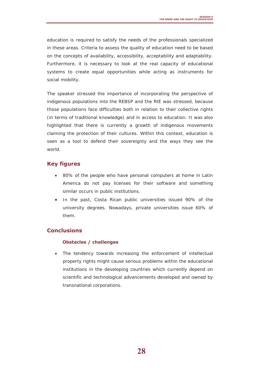education is required to satisfy the needs of the professionals specialized in these areas. Criteria to assess the quality of education need to be based on the concepts of availability, accessibility, acceptability and adaptability. Furthermore, it is necessary to look at the real capacity of educational systems to create equal opportunities while acting as instruments for social mobility.

The speaker stressed the importance of incorporating the perspective of indigenous populations into the REBSP and the RtE was stressed, because those populations face difficulties both in relation to their collective rights (in terms of traditional knowledge) and in access to education. It was also highlighted that there is currently a growth of indigenous movements claiming the protection of their cultures. Within this context, education is seen as a tool to defend their sovereignty and the ways they see the world.

# **Key figures**

- 80% of the people who have personal computers at home in Latin America do not pay licenses for their software and something similar occurs in public institutions.
- In the past, Costa Rican public universities issued 90% of the university degrees. Nowadays, private universities issue 60% of them.

# **Conclusions**

### **Obstacles / challenges**

• The tendency towards increasing the enforcement of intellectual property rights might cause serious problems within the educational institutions in the developing countries which currently depend on scientific and technological advancements developed and owned by transnational corporations.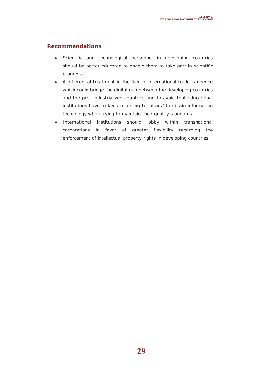# **Recommendations**

- Scientific and technological personnel in developing countries should be better educated to enable them to take part in scientific progress.
- A differential treatment in the field of international trade is needed which could bridge the digital gap between the developing countries and the post-industrialized countries and to avoid that educational institutions have to keep recurring to 'piracy' to obtain information technology when trying to maintain their quality standards.
- International institutions should lobby within transnational corporations in favor of greater flexibility regarding the enforcement of intellectual property rights in developing countries.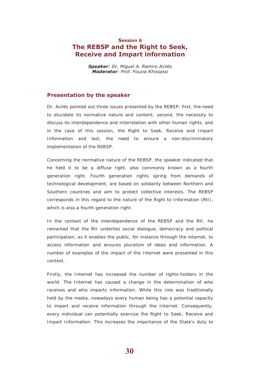# <span id="page-30-0"></span>**Session 6 The REBSP and the Right to Seek, Receive and Impart information**

*Speaker: Dr. Miguel A. Ramiro Avilés Moderator: Prof. Fouzia Rhissassi*

### **Presentation by the speaker**

Dr. Avilés pointed out three issues presented by the REBSP: first, the need to elucidate its normative nature and content; second, the necessity to discuss its interdependence and interrelation with other human rights, and in the case of this session, the Right to Seek, Receive and Impart Information and last, the need to ensure a non-discriminatory implementation of the REBSP.

Concerning the normative nature of the REBSP, the speaker indicated that he held it to be a diffuse right, also commonly known as a fourth generation right. Fourth generation rights spring from demands of technological development, are based on solidarity between Northern and Southern countries and aim to protect collective interests. The REBSP corresponds in this regard to the nature of the Right to Information (RtI), which is also a fourth generation right.

In the context of the interdependence of the REBSP and the RtI, he remarked that the RtI underlies social dialogue, democracy and political participation, as it enables the public, for instance through the internet, to access information and ensures pluralism of ideas and information. A number of examples of the impact of the Internet were presented in this context.

Firstly, the Internet has increased the number of rights-holders in the world. The Internet has caused a change in the determination of who receives and who imparts information. While this role was traditionally held by the media, nowadays every human being has a potential capacity to impart and receive information through the Internet. Consequently, every individual can potentially exercise the Right to Seek, Receive and Impart Information. This increases the importance of the State's duty to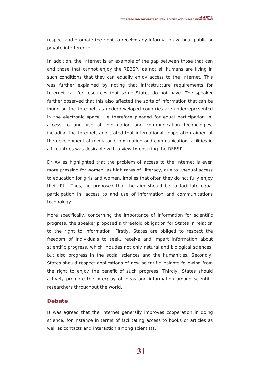respect and promote the right to receive any information without public or private interference.

In addition, the Internet is an example of the gap between those that can and those that cannot enjoy the REBSP, as not all humans are living in such conditions that they can equally enjoy access to the Internet. This was further explained by noting that infrastructure requirements for Internet call for resources that some States do not have. The speaker further observed that this also affected the sorts of information that can be found on the Internet, as underdeveloped countries are underrepresented in the electronic space. He therefore pleaded for equal participation in, access to and use of information and communication technologies, including the Internet, and stated that international cooperation aimed at the development of media and information and communication facilities in all countries was desirable with a view to ensuring the REBSP.

Dr Avilés highlighted that the problem of access to the Internet is even more pressing for women, as high rates of illiteracy, due to unequal access to education for girls and women, implies that often they do not fully enjoy their RtI. Thus, he proposed that the aim should be to facilitate equal participation in, access to and use of information and communications technology.

More specifically, concerning the importance of information for scientific progress, the speaker proposed a threefold obligation for States in relation to the right to information. Firstly, States are obliged to respect the freedom of individuals to seek, receive and impart information about scientific progress, which includes not only natural and biological sciences, but also progress in the social sciences and the humanities. Secondly, States should respect applications of new scientific insights following from the right to enjoy the benefit of such progress. Thirdly, States should actively promote the interplay of ideas and information among scientific researchers throughout the world.

### **Debate**

It was agreed that the Internet generally improves cooperation in doing science, for instance in terms of facilitating access to books or articles as well as contacts and interaction among scientists.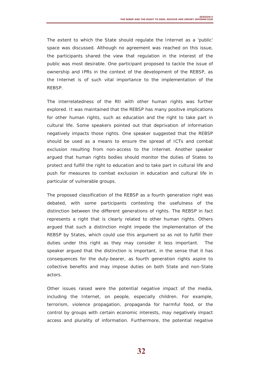The extent to which the State should regulate the Internet as a 'public' space was discussed. Although no agreement was reached on this issue, the participants shared the view that regulation in the interest of the public was most desirable. One participant proposed to tackle the issue of ownership and IPRs in the context of the development of the REBSP, as the Internet is of such vital importance to the implementation of the REBSP.

The interrelatedness of the RtI with other human rights was further explored. It was maintained that the REBSP has many positive implications for other human rights, such as education and the right to take part in cultural life. Some speakers pointed out that deprivation of information negatively impacts those rights. One speaker suggested that the REBSP should be used as a means to ensure the spread of ICTs and combat exclusion resulting from non-access to the Internet. Another speaker argued that human rights bodies should monitor the duties of States to protect and fulfill the right to education and to take part in cultural life and push for measures to combat exclusion in education and cultural life in particular of vulnerable groups.

The proposed classification of the REBSP as a fourth generation right was debated, with some participants contesting the usefulness of the distinction between the different generations of rights. The REBSP in fact represents a right that is clearly related to other human rights. Others argued that such a distinction might impede the implementation of the REBSP by States, which could use this argument so as not to fulfill their duties under this right as they may consider it less important. The speaker argued that the distinction is important, in the sense that it has consequences for the duty-bearer, as fourth generation rights aspire to collective benefits and may impose duties on both State and non-State actors.

Other issues raised were the potential negative impact of the media, including the Internet, on people, especially children. For example, terrorism, violence propagation, propaganda for harmful food, or the control by groups with certain economic interests, may negatively impact access and plurality of information. Furthermore, the potential negative

**32**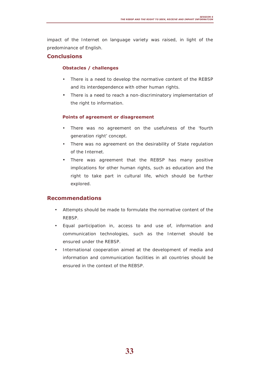impact of the Internet on language variety was raised, in light of the predominance of English.

### **Conclusions**

### **Obstacles / challenges**

- There is a need to develop the normative content of the REBSP and its interdependence with other human rights.
- There is a need to reach a non-discriminatory implementation of the right to information.

### **Points of agreement or disagreement**

- There was no agreement on the usefulness of the 'fourth generation right' concept.
- There was no agreement on the desirability of State regulation of the Internet.
- There was agreement that the REBSP has many positive implications for other human rights, such as education and the right to take part in cultural life, which should be further explored.

### **Recommendations**

- Attempts should be made to formulate the normative content of the REBSP.
- Equal participation in, access to and use of, information and communication technologies, such as the Internet should be ensured under the REBSP.
- International cooperation aimed at the development of media and information and communication facilities in all countries should be ensured in the context of the REBSP.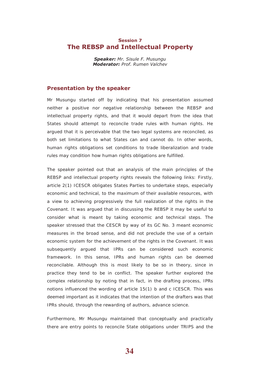### <span id="page-34-0"></span>**Session 7 The REBSP and Intellectual Property**

*Speaker: Mr. Sisule F. Musungu Moderator: Prof. Rumen Valchev*

### **Presentation by the speaker**

Mr Musungu started off by indicating that his presentation assumed neither a positive nor negative relationship between the REBSP and intellectual property rights, and that it would depart from the idea that States should attempt to reconcile trade rules with human rights. He argued that it is perceivable that the two legal systems are reconciled, as both set limitations to what States can and cannot do. In other words, human rights obligations set conditions to trade liberalization and trade rules may condition how human rights obligations are fulfilled.

The speaker pointed out that an analysis of the main principles of the REBSP and intellectual property rights reveals the following links: Firstly, article 2(1) ICESCR obligates States Parties to undertake steps, especially economic and technical, to the maximum of their available resources, with a view to achieving progressively the full realization of the rights in the Covenant. It was argued that in discussing the REBSP it may be useful to consider what is meant by taking economic and technical steps. The speaker stressed that the CESCR by way of its GC No. 3 meant economic measures in the broad sense, and did not preclude the use of a certain economic system for the achievement of the rights in the Covenant. It was subsequently argued that IPRs can be considered such economic framework. In this sense, IPRs and human rights can be deemed reconcilable. Although this is most likely to be so in theory, since in practice they tend to be in conflict. The speaker further explored the complex relationship by noting that in fact, in the drafting process, IPRs notions influenced the wording of article 15(1) b and c ICESCR. This was deemed important as it indicates that the intention of the drafters was that IPRs should, through the rewarding of authors, advance science.

Furthermore, Mr Musungu maintained that conceptually and practically there are entry points to reconcile State obligations under TRIPS and the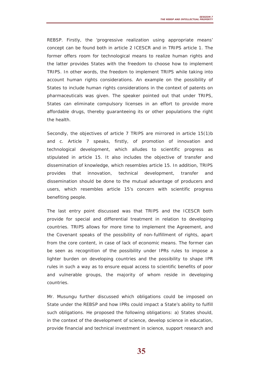REBSP. Firstly, the 'progressive realization using appropriate means' concept can be found both in article 2 ICESCR and in TRIPS article 1. The former offers room for technological means to realize human rights and the latter provides States with the freedom to choose how to implement TRIPS. In other words, the freedom to implement TRIPS while taking into account human rights considerations. An example on the possibility of States to include human rights considerations in the context of patents on pharmaceuticals was given. The speaker pointed out that under TRIPS, States can eliminate compulsory licenses in an effort to provide more affordable drugs, thereby guaranteeing its or other populations the right the health.

Secondly, the objectives of article 7 TRIPS are mirrored in article 15(1)b and c. Article 7 speaks, firstly, of promotion of innovation and technological development, which alludes to scientific progress as stipulated in article 15. It also includes the objective of transfer and dissemination of knowledge, which resembles article 15. In addition, TRIPS provides that innovation, technical development, transfer and dissemination should be done to the mutual advantage of producers and users, which resembles article 15's concern with scientific progress benefiting people.

The last entry point discussed was that TRIPS and the ICESCR both provide for special and differential treatment in relation to developing countries. TRIPS allows for more time to implement the Agreement, and the Covenant speaks of the possibility of non-fulfillment of rights, apart from the core content, in case of lack of economic means. The former can be seen as recognition of the possibility under IPRs rules to impose a lighter burden on developing countries and the possibility to shape IPR rules in such a way as to ensure equal access to scientific benefits of poor and vulnerable groups, the majority of whom reside in developing countries.

Mr. Musungu further discussed which obligations could be imposed on State under the REBSP and how IPRs could impact a State's ability to fulfill such obligations. He proposed the following obligations: a) States should, in the context of the development of science, develop science in education, provide financial and technical investment in science, support research and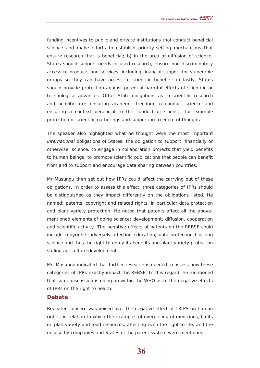funding incentives to public and private institutions that conduct beneficial science and make efforts to establish priority-setting mechanisms that ensure research that is beneficial; b) in the area of diffusion of science, States should support needs-focused research, ensure non-discriminatory access to products and services, including financial support for vulnerable groups so they can have access to scientific benefits; c) lastly, States should provide protection against potential harmful effects of scientific or technological advances. Other State obligations as to scientific research and activity are: ensuring academic freedom to conduct science and ensuring a context beneficial to the conduct of science, for example protection of scientific gatherings and supporting freedom of thought**.** 

The speaker also highlighted what he thought were the most important *international* obligations of States: the obligation to support, financially or otherwise, science, to engage in collaboration projects that yield benefits to human beings, to promote scientific publications that people can benefit from and to support and encourage data sharing between countries.

Mr Musungu then set out how IPRs could affect the carrying out of these obligations. In order to assess this effect, three categories of IPRs should be distinguished as they impact differently on the obligations listed. He named: patents, copyright and related rights, in particular data protection and plant variety protection. He noted that patents affect all the abovementioned elements of doing science: development, diffusion, cooperation and scientific activity. The negative effects of patents on the REBSP could include copyrights adversely affecting education, data protection blocking science and thus the right to enjoy its benefits and plant variety protection stifling agriculture development.

Mr. Musungu indicated that further research is needed to assess how these categories of IPRs exactly impact the REBSP. In this regard, he mentioned that some discussion is going on within the WHO as to the negative effects of IPRs on the right to health.

### **Debate**

Repeated concern was voiced over the negative effect of TRIPS on human rights, in relation to which the examples of overpricing of medicines, limits on plan variety and food resources, affecting even the right to life, and the misuse by companies and States of the patent system were mentioned.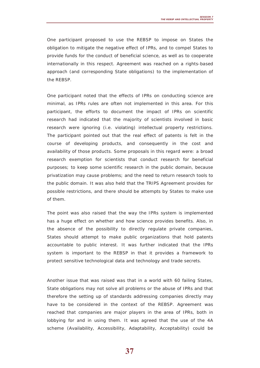One participant proposed to use the REBSP to impose on States the obligation to mitigate the negative effect of IPRs, and to compel States to provide funds for the conduct of beneficial science, as well as to cooperate internationally in this respect. Agreement was reached on a rights-based approach (and corresponding State obligations) to the implementation of the REBSP.

One participant noted that the effects of IPRs on conducting science are minimal, as IPRs rules are often not implemented in this area. For this participant, the efforts to document the impact of IPRs on scientific research had indicated that the majority of scientists involved in basic research were ignoring (i.e. violating) intellectual property restrictions. The participant pointed out that the real effect of patents is felt in the course of developing products, and consequently in the cost and availability of those products. Some proposals in this regard were: a broad research exemption for scientists that conduct research for beneficial purposes; to keep some scientific research in the public domain, because privatization may cause problems; and the need to return research tools to the public domain. It was also held that the TRIPS Agreement provides for possible restrictions, and there should be attempts by States to make use of them.

The point was also raised that the way the IPRs system is implemented has a huge effect on whether and how science provides benefits. Also, in the absence of the possibility to directly regulate private companies, States should attempt to make public organizations that hold patents accountable to public interest. It was further indicated that the IPRs system is important to the REBSP in that it provides a framework to protect sensitive technological data and technology and trade secrets.

Another issue that was raised was that in a world with 60 failing States, State obligations may not solve all problems or the abuse of IPRs and that therefore the setting up of standards addressing companies directly may have to be considered in the context of the REBSP. Agreement was reached that companies are major players in the area of IPRs, both in lobbying for and in using them. It was agreed that the use of the 4A scheme (Availability, Accessibility, Adaptability, Acceptability) could be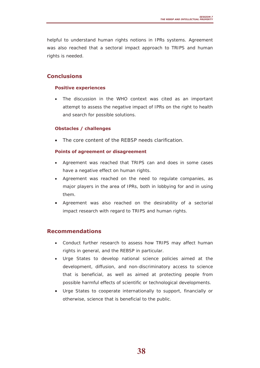helpful to understand human rights notions in IPRs systems. Agreement was also reached that a sectoral impact approach to TRIPS and human rights is needed.

# **Conclusions**

### **Positive experiences**

The discussion in the WHO context was cited as an important attempt to assess the negative impact of IPRs on the right to health and search for possible solutions.

### **Obstacles / challenges**

• The core content of the REBSP needs clarification.

### **Points of agreement or disagreement**

- Agreement was reached that TRIPS can and does in some cases have a negative effect on human rights.
- Agreement was reached on the need to regulate companies, as major players in the area of IPRs, both in lobbying for and in using them.
- Agreement was also reached on the desirability of a sectorial impact research with regard to TRIPS and human rights.

### **Recommendations**

- Conduct further research to assess how TRIPS may affect human rights in general, and the REBSP in particular.
- Urge States to develop national science policies aimed at the development, diffusion, and non-discriminatory access to science that is beneficial, as well as aimed at protecting people from possible harmful effects of scientific or technological developments.
- Urge States to cooperate internationally to support, financially or otherwise, science that is beneficial to the public.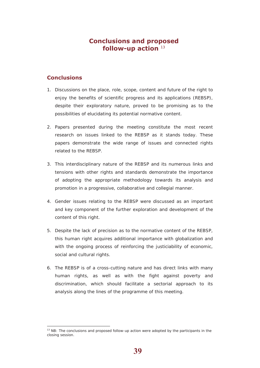# **Conclusions and proposed follow-up action** <sup>13</sup>

### **Conclusions**

 $\overline{a}$ 

- 1. Discussions on the place, role, scope, content and future of the right to enjoy the benefits of scientific progress and its applications (REBSP), despite their exploratory nature, proved to be promising as to the possibilities of elucidating its potential normative content.
- 2. Papers presented during the meeting constitute the most recent research on issues linked to the REBSP as it stands today. These papers demonstrate the wide range of issues and connected rights related to the REBSP.
- 3. This interdisciplinary nature of the REBSP and its numerous links and tensions with other rights and standards demonstrate the importance of adopting the appropriate methodology towards its analysis and promotion in a progressive, collaborative and collegial manner.
- 4. Gender issues relating to the REBSP were discussed as an important and key component of the further exploration and development of the content of this right.
- 5. Despite the lack of precision as to the normative content of the REBSP, this human right acquires additional importance with globalization and with the ongoing process of reinforcing the justiciability of economic, social and cultural rights.
- 6. The REBSP is of a cross-cutting nature and has direct links with many human rights, as well as with the fight against poverty and discrimination, which should facilitate a sectorial approach to its analysis along the lines of the programme of this meeting.

<span id="page-39-0"></span> $13$  NB: The conclusions and proposed follow-up action were adopted by the participants in the closing session.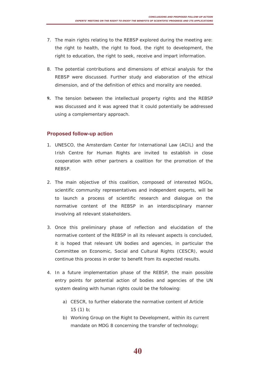- <span id="page-40-0"></span>7. The main rights relating to the REBSP explored during the meeting are: the right to health, the right to food, the right to development, the right to education, the right to seek, receive and impart information.
- 8. The potential contributions and dimensions of ethical analysis for the REBSP were discussed. Further study and elaboration of the ethical dimension, and of the definition of ethics and morality are needed.
- **9.** The tension between the intellectual property rights and the REBSP was discussed and it was agreed that it could potentially be addressed using a complementary approach.

### **Proposed follow-up action**

- 1. UNESCO, the Amsterdam Center for International Law (ACIL) and the Irish Centre for Human Rights are invited to establish in close cooperation with other partners a coalition for the promotion of the REBSP.
- 2. The main objective of this coalition, composed of interested NGOs, scientific community representatives and independent experts, will be to launch a process of scientific research and dialogue on the normative content of the REBSP in an interdisciplinary manner involving all relevant stakeholders.
- 3. Once this preliminary phase of reflection and elucidation of the normative content of the REBSP in all its relevant aspects is concluded, it is hoped that relevant UN bodies and agencies, in particular the Committee on Economic, Social and Cultural Rights (CESCR), would continue this process in order to benefit from its expected results.
- 4. In a future implementation phase of the REBSP, the main possible entry points for potential action of bodies and agencies of the UN system dealing with human rights could be the following:
	- a) CESCR, to further elaborate the normative content of Article 15 (1) b;
	- b) Working Group on the Right to Development, within its current mandate on MDG 8 concerning the transfer of technology;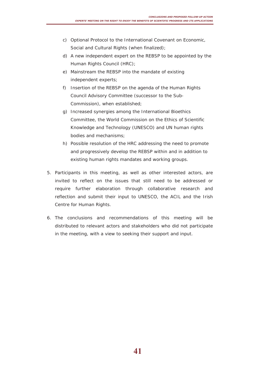- c) Optional Protocol to the International Covenant on Economic, Social and Cultural Rights (when finalized);
- d) A new independent expert on the REBSP to be appointed by the Human Rights Council (HRC);
- e) Mainstream the REBSP into the mandate of existing independent experts;
- f) Insertion of the REBSP on the agenda of the Human Rights Council Advisory Committee (successor to the Sub-Commission), when established;
- g) Increased synergies among the International Bioethics Committee, the World Commission on the Ethics of Scientific Knowledge and Technology (UNESCO) and UN human rights bodies and mechanisms;
- h) Possible resolution of the HRC addressing the need to promote and progressively develop the REBSP within and in addition to existing human rights mandates and working groups.
- 5. Participants in this meeting, as well as other interested actors, are invited to reflect on the issues that still need to be addressed or require further elaboration through collaborative research and reflection and submit their input to UNESCO, the ACIL and the Irish Centre for Human Rights.
- 6. The conclusions and recommendations of this meeting will be distributed to relevant actors and stakeholders who did not participate in the meeting, with a view to seeking their support and input.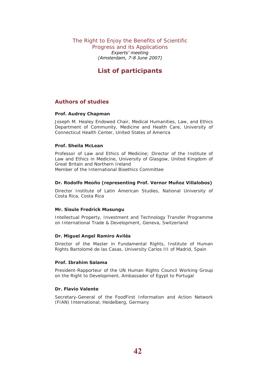The Right to Enjoy the Benefits of Scientific Progress and its Applications *Experts' meeting (Amsterdam, 7-8 June 2007)*

# **List of participants**

### **Authors of studies**

### **Prof. Audrey Chapman**

Joseph M. Healey Endowed Chair, Medical Humanities, Law, and Ethics Department of Community, Medicine and Health Care, University of Connecticut Health Center, United States of America

### **Prof. Sheila McLean**

Professor of Law and Ethics of Medicine; Director of the Institute of Law and Ethics in Medicine, University of Glasgow, United Kingdom of Great Britain and Northern Ireland Member of the International Bioethics Committee

### **Dr. Rodolfo Meoño (representing Prof. Vernor Muñoz Villalobos)**

Director Institute of Latin American Studies, National University of Costa Rica, Costa Rica

#### **Mr. Sisule Fredrick Musungu**

Intellectual Property, Investment and Technology Transfer Programme on International Trade & Development, Geneva, Switzerland

#### **Dr. Miguel Angel Ramiro Avilés**

Director of the Master in Fundamental Rights, Institute of Human Rights Bartolomé de las Casas, University Carlos III of Madrid, Spain

#### **Prof. Ibrahim Salama**

President-Rapporteur of the UN Human Rights Council Working Group on the Right to Development, Ambassador of Egypt to Portugal

#### **Dr. Flavio Valente**

Secretary-General of the FoodFirst Information and Action Network (FIAN) International, Heidelberg, Germany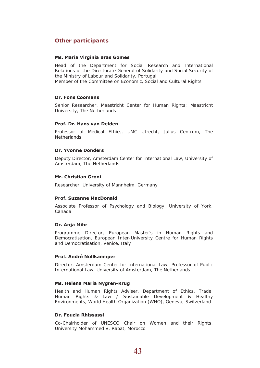### <span id="page-43-0"></span>**Other participants**

#### **Ms. Maria Virginia Bras Gomes**

Head of the Department for Social Research and International Relations of the Directorate General of Solidarity and Social Security of the Ministry of Labour and Solidarity, Portugal Member of the Committee on Economic, Social and Cultural Rights

### **Dr. Fons Coomans**

Senior Researcher, Maastricht Center for Human Rights; Maastricht University, The Netherlands

#### **Prof. Dr. Hans van Delden**

Professor of Medical Ethics, UMC Utrecht, Julius Centrum, The **Netherlands** 

#### **Dr. Yvonne Donders**

Deputy Director, Amsterdam Center for International Law, University of Amsterdam, The Netherlands

#### **Mr. Christian Groni**

Researcher, University of Mannheim, Germany

#### **Prof. Suzanne MacDonald**

Associate Professor of Psychology and Biology, University of York, Canada

#### **Dr. Anja Mihr**

Programme Director, European Master's in Human Rights and Democratisation, European Inter-University Centre for Human Rights and Democratisation, Venice, Italy

#### **Prof. André Nollkaemper**

Director, Amsterdam Center for International Law; Professor of Public International Law, University of Amsterdam, The Netherlands

#### **Ms. Helena Maria Nygren-Krug**

Health and Human Rights Adviser, Department of Ethics, Trade, Human Rights & Law / Sustainable Development & Healthy Environments, World Health Organization (WHO), Geneva, Switzerland

#### **Dr. Fouzia Rhissassi**

Co-Chairholder of UNESCO Chair on Women and their Rights, University Mohammed V, Rabat, Morocco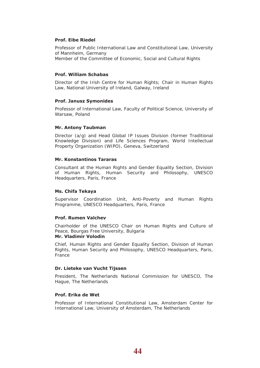#### **Prof. Eibe Riedel**

Professor of Public International Law and Constitutional Law, University of Mannheim, Germany Member of the Committee of Economic, Social and Cultural Rights

### **Prof. William Schabas**

Director of the Irish Centre for Human Rights; Chair in Human Rights Law, National University of Ireland, Galway, Ireland

#### **Prof. Janusz Symonides**

Professor of International Law, Faculty of Political Science, University of Warsaw, Poland

### **Mr. Antony Taubman**

Director (a/g) and Head Global IP Issues Division (former Traditional Knowledge Division) and Life Sciences Program, World Intellectual Property Organization (WIPO), Geneva, Switzerland

### **Mr. Konstantinos Tararas**

Consultant at the Human Rights and Gender Equality Section, Division of Human Rights, Human Security and Philosophy, UNESCO Headquarters, Paris, France

#### **Ms. Chifa Tekaya**

Supervisor Coordination Unit, Anti-Poverty and Human Rights Programme, UNESCO Headquarters, Paris, France

#### **Prof. Rumen Valchev**

Chairholder of the UNESCO Chair on Human Rights and Culture of Peace, Bourgas Free University, Bulgaria

#### **Mr. Vladimir Volodin**

Chief, Human Rights and Gender Equality Section, Division of Human Rights, Human Security and Philosophy, UNESCO Headquarters, Paris, France

#### **Dr. Lieteke van Vucht Tijssen**

President, The Netherlands National Commission for UNESCO, The Hague, The Netherlands

#### **Prof. Erika de Wet**

Professor of International Constitutional Law, Amsterdam Center for International Law, University of Amsterdam, The Netherlands